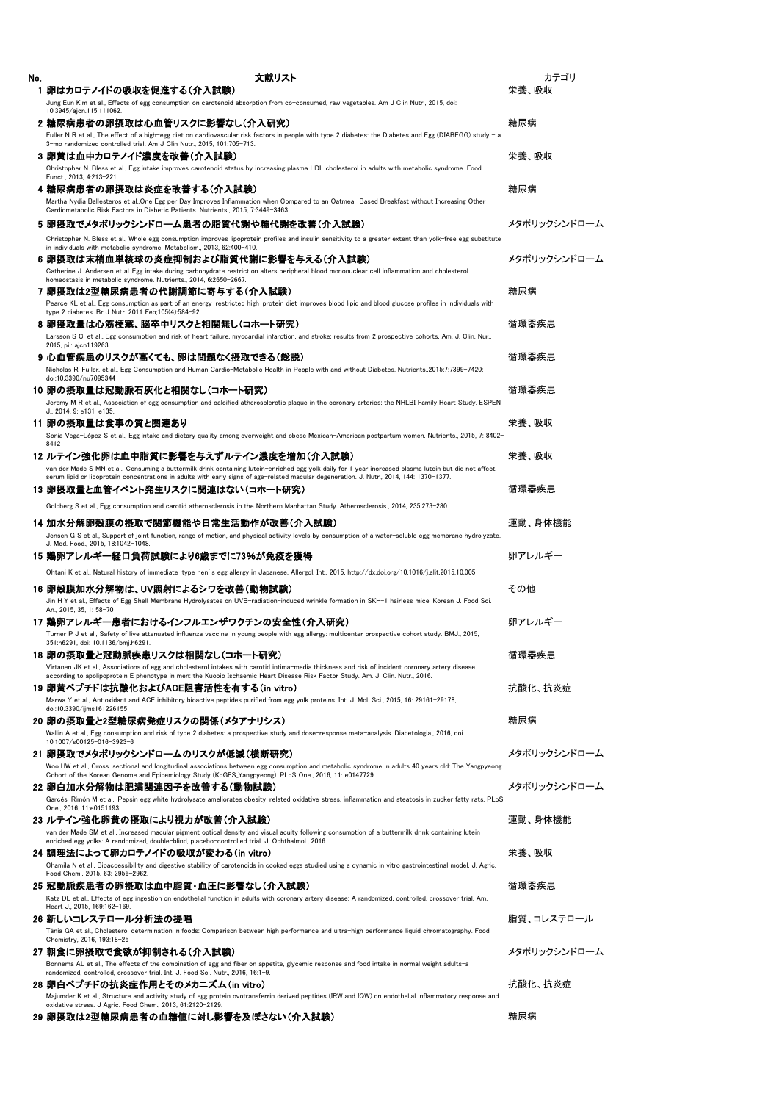| No. | 文献リスト                                                                                                                                                                                                                                                                                               | カテゴリ         |
|-----|-----------------------------------------------------------------------------------------------------------------------------------------------------------------------------------------------------------------------------------------------------------------------------------------------------|--------------|
|     | 1 卵はカロテノイドの吸収を促進する(介入試験)                                                                                                                                                                                                                                                                            | 栄養、吸収        |
|     | Jung Eun Kim et al., Effects of egg consumption on carotenoid absorption from co-consumed, raw vegetables. Am J Clin Nutr., 2015, doi:                                                                                                                                                              |              |
|     | 10.3945/ajcn.115.111062.<br>2 糖尿病患者の卵摂取は心血管リスクに影響なし(介入研究)                                                                                                                                                                                                                                           | 糖尿病          |
|     | Fuller N R et al., The effect of a high-egg diet on cardiovascular risk factors in people with type 2 diabetes: the Diabetes and Egg (DIABEGG) study - a                                                                                                                                            |              |
|     | 3-mo randomized controlled trial. Am J Clin Nutr., 2015, 101:705-713.                                                                                                                                                                                                                               |              |
|     | 3 卵黄は血中カロテノイド濃度を改善(介入試験)                                                                                                                                                                                                                                                                            | 栄養、吸収        |
|     | Christopher N. Bless et al., Egg intake improves carotenoid status by increasing plasma HDL cholesterol in adults with metabolic syndrome. Food.<br>Funct., 2013, 4:213-221                                                                                                                         |              |
|     | 4 糖尿病患者の卵摂取は炎症を改善する(介入試験)                                                                                                                                                                                                                                                                           | 糖尿病          |
|     | Martha Nydia Ballesteros et al., One Egg per Day Improves Inflammation when Compared to an Oatmeal-Based Breakfast without Increasing Other                                                                                                                                                         |              |
|     | Cardiometabolic Risk Factors in Diabetic Patients. Nutrients., 2015, 7:3449-3463.                                                                                                                                                                                                                   |              |
|     | 5 卵摂取でメタボリックシンドローム患者の脂質代謝や糖代謝を改善(介入試験)                                                                                                                                                                                                                                                              | メタボリックシンドローム |
|     | Christopher N. Bless et al., Whole egg consumption improves lipoprotein profiles and insulin sensitivity to a greater extent than yolk-free egg substitute                                                                                                                                          |              |
|     | in individuals with metabolic syndrome. Metabolism., 2013, 62:400-410.<br>6 卵摂取は末梢血単核球の炎症抑制および脂質代謝に影響を与える(介入試験)                                                                                                                                                                                     | メタボリックシンドローム |
|     | Catherine J. Andersen et al. Egg intake during carbohydrate restriction alters peripheral blood mononuclear cell inflammation and cholesterol                                                                                                                                                       |              |
|     | homeostasis in metabolic syndrome. Nutrients., 2014, 6:2650-2667.                                                                                                                                                                                                                                   |              |
|     | 7 卵摂取は2型糖尿病患者の代謝調節に寄与する(介入試験)                                                                                                                                                                                                                                                                       | 糖尿病          |
|     | Pearce KL et al., Egg consumption as part of an energy-restricted high-protein diet improves blood lipid and blood glucose profiles in individuals with<br>type 2 diabetes. Br J Nutr. 2011 Feb;105(4):584-92.                                                                                      |              |
|     | 8 卵摂取量は心筋梗塞、脳卒中リスクと相関無し(コホート研究)                                                                                                                                                                                                                                                                     | 循環器疾患        |
|     | Larsson S C, et al., Egg consumption and risk of heart failure, myocardial infarction, and stroke: results from 2 prospective cohorts. Am. J. Clin. Nur.,                                                                                                                                           |              |
|     | 2015, pii: ajcn119263.                                                                                                                                                                                                                                                                              |              |
|     | 9 心血管疾患のリスクが高くても、卵は問題なく摂取できる(総説)<br>Nicholas R. Fuller, et al., Egg Consumption and Human Cardio-Metabolic Health in People with and without Diabetes. Nutrients.,2015;7:7399-7420;                                                                                                                 | 循環器疾患        |
|     | doi:10.3390/nu7095344                                                                                                                                                                                                                                                                               |              |
|     | 10 卵の摂取量は冠動脈石灰化と相関なし(コホート研究)                                                                                                                                                                                                                                                                        | 循環器疾患        |
|     | Jeremy M R et al., Association of egg consumption and calcified atherosclerotic plaque in the coronary arteries: the NHLBI Family Heart Study. ESPEN                                                                                                                                                |              |
|     | J., 2014, 9: e131-e135.<br>11 卵の摂取量は食事の質と関連あり                                                                                                                                                                                                                                                       | 栄養、吸収        |
|     | Sonia Vega-López S et al., Egg intake and dietary quality among overweight and obese Mexican-American postpartum women. Nutrients., 2015, 7: 8402-                                                                                                                                                  |              |
|     | 8412                                                                                                                                                                                                                                                                                                |              |
|     | 12 ルテイン強化卵は血中脂質に影響を与えずルテイン濃度を増加(介入試験)                                                                                                                                                                                                                                                               | 栄養、吸収        |
|     | van der Made S MN et al., Consuming a buttermilk drink containing lutein-enriched egg yolk daily for 1 year increased plasma lutein but did not affect<br>serum lipid or lipoprotein concentrations in adults with early signs of age-related macular degeneration. J. Nutr., 2014, 144: 1370-1377. |              |
|     | 13 卵摂取量と血管イベント発生リスクに関連はない(コホート研究)                                                                                                                                                                                                                                                                   | 循環器疾患        |
|     | Goldberg S et al., Egg consumption and carotid atherosclerosis in the Northern Manhattan Study. Atherosclerosis., 2014, 235:273-280.                                                                                                                                                                |              |
|     |                                                                                                                                                                                                                                                                                                     |              |
|     | 14 加水分解卵殻膜の摂取で関節機能や日常生活動作が改善(介入試験)                                                                                                                                                                                                                                                                  | 運動、身体機能      |
|     | Jensen G S et al., Support of joint function, range of motion, and physical activity levels by consumption of a water-soluble egg membrane hydrolyzate.<br>J. Med. Food., 2015, 18:1042-1048.                                                                                                       |              |
|     | 15 鶏卵アレルギー経口負荷試験により6歳までに73%が免疫を獲得                                                                                                                                                                                                                                                                   | 卵アレルギー       |
|     | Ohtani K et al., Natural history of immediate-type hen's egg allergy in Japanese. Allergol. Int., 2015, http://dx.doi.org/10.1016/j.alit.2015.10.005                                                                                                                                                |              |
|     | 16 卵殻膜加水分解物は、UV照射によるシワを改善(動物試験)                                                                                                                                                                                                                                                                     | その他          |
|     | Jin H Y et al., Effects of Egg Shell Membrane Hydrolysates on UVB-radiation-induced wrinkle formation in SKH-1 hairless mice. Korean J. Food Sci.                                                                                                                                                   |              |
|     | An., 2015, 35, 1: 58-70<br>17 鷄卵アレルギー患者におけるインフルエンザワクチンの安全性(介入研究)                                                                                                                                                                                                                                    | 卵アレルギー       |
|     | Turner P J et al., Safety of live attenuated influenza vaccine in young people with egg allergy: multicenter prospective cohort study. BMJ., 2015,                                                                                                                                                  |              |
|     | 351:h6291. doi: 10.1136/bmi.h6291.                                                                                                                                                                                                                                                                  |              |
|     | 18 卵の摂取量と冠動脈疾患リスクは相関なし(コホート研究)                                                                                                                                                                                                                                                                      | 循環器疾患        |
|     | Virtanen JK et al., Associations of egg and cholesterol intakes with carotid intima-media thickness and risk of incident coronary artery disease<br>according to apolipoprotein E phenotype in men: the Kuopio Ischaemic Heart Disease Risk Factor Study. Am. J. Clin. Nutr., 2016.                 |              |
|     | 19 卵黄ペプチドは抗酸化およびACE阻害活性を有する(in vitro)                                                                                                                                                                                                                                                               | 抗酸化、抗炎症      |
|     | Marwa Y et al., Antioxidant and ACE inhibitory bioactive peptides purified from egg yolk proteins. Int. J. Mol. Sci., 2015, 16: 29161-29178,                                                                                                                                                        |              |
|     | doi:10.3390/ijms161226155                                                                                                                                                                                                                                                                           |              |
|     | 20 卵の摂取量と2型糖尿病発症リスクの関係(メタアナリシス)<br>Wallin A et al., Egg consumption and risk of type 2 diabetes: a prospective study and dose-response meta-analysis. Diabetologia., 2016, doi                                                                                                                      | 糖尿病          |
|     | 10.1007/s00125-016-3923-6                                                                                                                                                                                                                                                                           |              |
|     | 21 卵摂取でメタボリックシンドロームのリスクが低減(横断研究)                                                                                                                                                                                                                                                                    | メタボリックシンドローム |
|     | Woo HW et al., Cross-sectional and longitudinal associations between egg consumption and metabolic syndrome in adults 40 years old: The Yangpyeong<br>Cohort of the Korean Genome and Epidemiology Study (KoGES Yangpyeong). PLoS One., 2016, 11: e0147729                                          |              |
|     | 22 卵白加水分解物は肥満関連因子を改善する(動物試験)                                                                                                                                                                                                                                                                        | メタボリックシンドローム |
|     | Garcés-Rimón M et al., Pepsin egg white hydrolysate ameliorates obesity-related oxidative stress, inflammation and steatosis in zucker fatty rats. PLoS                                                                                                                                             |              |
|     | One 2016, 11:e0151193.                                                                                                                                                                                                                                                                              |              |
|     | 23 ルテイン強化卵黄の摂取により視力が改善(介入試験)                                                                                                                                                                                                                                                                        | 運動、身体機能      |
|     | van der Made SM et al., Increased macular pigment optical density and visual acuity following consumption of a buttermilk drink containing lutein-<br>enriched egg yolks: A randomized, double-blind, placebo-controlled trial. J. Ophthalmol., 2016                                                |              |
|     | 24 調理法によって卵カロテノイドの吸収が変わる(in vitro)                                                                                                                                                                                                                                                                  | 栄養、吸収        |
|     | Chamila N et al., Bioaccessibility and digestive stability of carotenoids in cooked eggs studied using a dynamic in vitro gastrointestinal model. J. Agric.                                                                                                                                         |              |
|     | Food Chem., 2015, 63: 2956-2962.                                                                                                                                                                                                                                                                    | 循環器疾患        |
|     | 25 冠動脈疾患者の卵摂取は血中脂質・血圧に影響なし(介入試験)<br>Katz DL et al., Effects of egg ingestion on endothelial function in adults with coronary artery disease: A randomized, controlled, crossover trial. Am.                                                                                                         |              |
|     | Heart J., 2015, 169:162-169.                                                                                                                                                                                                                                                                        |              |
|     | 26 新しいコレステロール分析法の提唱                                                                                                                                                                                                                                                                                 | 脂質、コレステロール   |
|     | Tânia GA et al., Cholesterol determination in foods: Comparison between high performance and ultra-high performance liquid chromatography. Food<br>Chemistry, 2016, 193:18-25                                                                                                                       |              |
|     | 27 朝食に卵摂取で食欲が抑制される(介入試験)                                                                                                                                                                                                                                                                            | メタボリックシンドローム |
|     | Bonnema AL et al., The effects of the combination of egg and fiber on appetite, glycemic response and food intake in normal weight adults-a                                                                                                                                                         |              |
|     | randomized, controlled, crossover trial. Int. J. Food Sci. Nutr., 2016, 16:1-9.                                                                                                                                                                                                                     |              |
|     | 28 卵白ペブチドの抗炎症作用とそのメカニズム(in vitro)                                                                                                                                                                                                                                                                   | 抗酸化、抗炎症      |
|     | Majumder K et al., Structure and activity study of egg protein ovotransferrin derived peptides (IRW and IQW) on endothelial inflammatory response and<br>oxidative stress. J Agric. Food Chem., 2013, 61:2120-2129.                                                                                 |              |
|     | 29 卵摂取は2型糖尿病患者の血糖値に対し影響を及ぼさない(介入試験)                                                                                                                                                                                                                                                                 | 糖尿病          |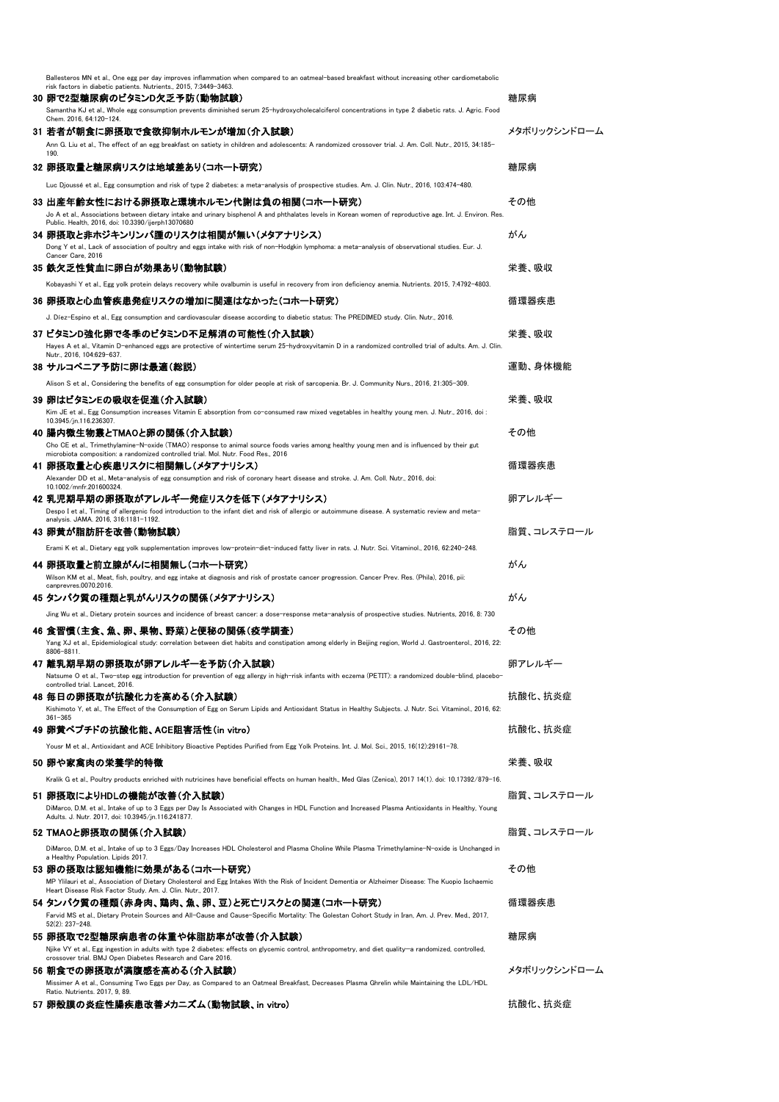| Ballesteros MN et al., One egg per day improves inflammation when compared to an oatmeal-based breakfast without increasing other cardiometabolic<br>risk factors in diabetic patients. Nutrients., 2015, 7:3449-3463.          |              |
|---------------------------------------------------------------------------------------------------------------------------------------------------------------------------------------------------------------------------------|--------------|
| 30 卵で2型糖尿病のビタミンD欠乏予防(動物試験)                                                                                                                                                                                                      | 糖尿病          |
| Samantha KJ et al., Whole egg consumption prevents diminished serum 25-hydroxycholecalciferol concentrations in type 2 diabetic rats. J. Agric. Food<br>Chem. 2016, 64:120-124.                                                 |              |
| 31 若者が朝食に卵摂取で食欲抑制ホルモンが増加(介入試験)                                                                                                                                                                                                  | メタボリックシンドローム |
| Ann G. Liu et al., The effect of an egg breakfast on satiety in children and adolescents: A randomized crossover trial. J. Am. Coll. Nutr., 2015, 34:185-<br>190.                                                               |              |
| 32 卵摂取量と糖尿病リスクは地域差あり(コホート研究)                                                                                                                                                                                                    | 糖尿病          |
| Luc Djoussé et al., Egg consumption and risk of type 2 diabetes: a meta-analysis of prospective studies. Am. J. Clin. Nutr., 2016, 103:474-480.                                                                                 |              |
| 33 出産年齢女性における卵摂取と環境ホルモン代謝は負の相関(コホート研究)                                                                                                                                                                                          | その他          |
| Jo A et al., Associations between dietary intake and urinary bisphenol A and phthalates levels in Korean women of reproductive age. Int. J. Environ. Res.                                                                       |              |
| Public. Health, 2016, doi: 10.3390/ijerph13070680<br>34 卵摂取と非ホジキンリンパ腫のリスクは相関が無い(メタアナリシス)                                                                                                                                        | がん           |
| Dong Y et al., Lack of association of poultry and eggs intake with risk of non-Hodgkin lymphoma: a meta-analysis of observational studies. Eur. J.                                                                              |              |
| Cancer Care, 2016                                                                                                                                                                                                               |              |
| 35 鉄欠乏性貧血に卵白が効果あり(動物試験)                                                                                                                                                                                                         | 栄養、吸収        |
| Kobayashi Y et al., Egg yolk protein delays recovery while ovalbumin is useful in recovery from iron deficiency anemia. Nutrients. 2015, 7:4792-4803.                                                                           |              |
| 36 卵摂取と心血管疾患発症リスクの増加に関連はなかった(コホート研究)                                                                                                                                                                                            | 循環器疾患        |
| J. Díez-Espino et al., Egg consumption and cardiovascular disease according to diabetic status: The PREDIMED study. Clin. Nutr., 2016.                                                                                          |              |
| 37 ビタミンD強化卵で冬季のビタミンD不足解消の可能性(介入試験)<br>Hayes A et al., Vitamin D-enhanced eggs are protective of wintertime serum 25-hydroxyvitamin D in a randomized controlled trial of adults. Am. J. Clin.                                   | 栄養. 吸収       |
| Nutr., 2016, 104:629-637.                                                                                                                                                                                                       |              |
| 38 サルコペニア予防に卵は最適(総説)                                                                                                                                                                                                            | 運動、身体機能      |
| Alison S et al., Considering the benefits of egg consumption for older people at risk of sarcopenia. Br. J. Community Nurs., 2016, 21:305-309.                                                                                  |              |
| 39 卵はビタミンEの吸収を促進(介入試験)                                                                                                                                                                                                          | 栄養、吸収        |
| Kim JE et al., Egg Consumption increases Vitamin E absorption from co-consumed raw mixed vegetables in healthy young men. J. Nutr., 2016, doi :<br>10.3945/jn.116.236307.                                                       |              |
| 40 腸内微生物叢とTMAOと卵の関係(介入試験)                                                                                                                                                                                                       | その他          |
| Cho CE et al., Trimethylamine-N-oxide (TMAO) response to animal source foods varies among healthy young men and is influenced by their gut<br>microbiota composition: a randomized controlled trial. Mol. Nutr. Food Res., 2016 |              |
| 41 卵摂取量と心疾患リスクに相関無し(メタアナリシス)                                                                                                                                                                                                    | 循環器疾患        |
| Alexander DD et al., Meta-analysis of egg consumption and risk of coronary heart disease and stroke. J. Am. Coll. Nutr., 2016, doi:<br>10.1002/mnfr.201600324.                                                                  |              |
| 42 乳児期早期の卵摂取がアレルギー発症リスクを低下(メタアナリシス)                                                                                                                                                                                             | 卵アレルギー       |
| Despo I et al., Timing of allergenic food introduction to the infant diet and risk of allergic or autoimmune disease. A systematic review and meta-<br>analysis. JAMA. 2016, 316:1181-1192.                                     |              |
| 43 卵黄が脂肪肝を改善(動物試験)                                                                                                                                                                                                              | 脂質、コレステロール   |
| Erami K et al., Dietary egg yolk supplementation improves low-protein-diet-induced fatty liver in rats. J. Nutr. Sci. Vitaminol., 2016, 62:240-248.                                                                             |              |
| 44 卵摂取量と前立腺がんに相関無し(コホート研究)                                                                                                                                                                                                      | がん           |
| Wilson KM et al., Meat, fish, poultry, and egg intake at diagnosis and risk of prostate cancer progression. Cancer Prev. Res. (Phila), 2016, pii:<br>canprevres,0070,2016.                                                      |              |
| 45 タンパク質の種類と乳がんリスクの関係(メタアナリシス)                                                                                                                                                                                                  | がん           |
| Jing Wu et al., Dietary protein sources and incidence of breast cancer: a dose-response meta-analysis of prospective studies. Nutrients, 2016, 8: 730                                                                           |              |
| 46 食習慣(主食、魚、卵、果物、野菜)と便秘の関係(疫学調査)                                                                                                                                                                                                | その他          |
| Yang XJ et al., Epidemiological study: correlation between diet habits and constipation among elderly in Beijing region, World J. Gastroenterol., 2016, 22:                                                                     |              |
| 8806-8811.<br>47 離乳期早期の卵摂取が卵アレルギーを予防(介入試験)                                                                                                                                                                                      | 卵アレルギー       |
| Natsume O et al., Two-step egg introduction for prevention of egg allergy in high-risk infants with eczema (PETIT): a randomized double-blind, placebo-                                                                         |              |
| controlled trial. Lancet, 2016.<br>48 毎日の卵摂取が抗酸化力を高める(介入試験)                                                                                                                                                                     | 抗酸化、抗炎症      |
| Kishimoto Y, et al., The Effect of the Consumption of Egg on Serum Lipids and Antioxidant Status in Healthy Subjects. J. Nutr. Sci. Vitaminol., 2016, 62:                                                                       |              |
| $361 - 365$<br>49 卵黄ペプチドの抗酸化能、ACE阻害活性(in vitro)                                                                                                                                                                                 | 抗酸化、抗炎症      |
|                                                                                                                                                                                                                                 |              |
| Yousr M et al., Antioxidant and ACE Inhibitory Bioactive Peptides Purified from Egg Yolk Proteins. Int. J. Mol. Sci., 2015, 16(12):29161-78.                                                                                    |              |
| 50 卵や家禽肉の栄養学的特徴                                                                                                                                                                                                                 | 栄養、吸収        |
| Kralik G et al., Poultry products enriched with nutricines have beneficial effects on human health., Med Glas (Zenica), 2017 14(1). doi: 10.17392/879-16.                                                                       |              |
| 51 卵摂取によりHDLの機能が改善(介入試験)<br>DiMarco, D.M. et al., Intake of up to 3 Eggs per Day Is Associated with Changes in HDL Function and Increased Plasma Antioxidants in Healthy, Young                                                 | 脂質、コレステロール   |
| Adults. J. Nutr. 2017, doi: 10.3945/jn.116.241877.                                                                                                                                                                              |              |
| 52 TMAOと卵摂取の関係(介入試験)                                                                                                                                                                                                            | 脂質、コレステロール   |
| DiMarco, D.M. et al., Intake of up to 3 Eggs/Day Increases HDL Cholesterol and Plasma Choline While Plasma Trimethylamine-N-oxide is Unchanged in<br>a Healthy Population. Lipids 2017.                                         |              |
| 53 卵の摂取は認知機能に効果がある(コホート研究)                                                                                                                                                                                                      | その他          |
| MP Ylilauri et al., Association of Dietary Cholesterol and Egg Intakes With the Risk of Incident Dementia or Alzheimer Disease: The Kuopio Ischaemic<br>Heart Disease Risk Factor Study. Am. J. Clin. Nutr., 2017.              |              |
| 54 タンパク質の種類(赤身肉、鶏肉、魚、卵、豆)と死亡リスクとの関連(コホート研究)                                                                                                                                                                                     | 循環器疾患        |
| Farvid MS et al., Dietary Protein Sources and All-Cause and Cause-Specific Mortality: The Golestan Cohort Study in Iran, Am. J. Prev. Med., 2017,                                                                               |              |
| 52(2): 237-248.<br>55 卵摂取で2型糖尿病患者の体重や体脂肪率が改善(介入試験)                                                                                                                                                                              | 糖尿病          |
| Njike VY et al., Egg ingestion in adults with type 2 diabetes: effects on glycemic control, anthropometry, and diet quality-a randomized, controlled,                                                                           |              |
| crossover trial. BMJ Open Diabetes Research and Care 2016.<br>56 朝食での卵摂取が満腹感を高める(介入試験)                                                                                                                                          | メタボリックシンドローム |
| Missimer A et al., Consuming Two Eggs per Day, as Compared to an Oatmeal Breakfast, Decreases Plasma Ghrelin while Maintaining the LDL/HDL                                                                                      |              |
| Ratio. Nutrients. 2017, 9, 89.                                                                                                                                                                                                  |              |
| 57 卵殻膜の炎症性腸疾患改善メカニズム(動物試験、in vitro)                                                                                                                                                                                             | 抗酸化、抗炎症      |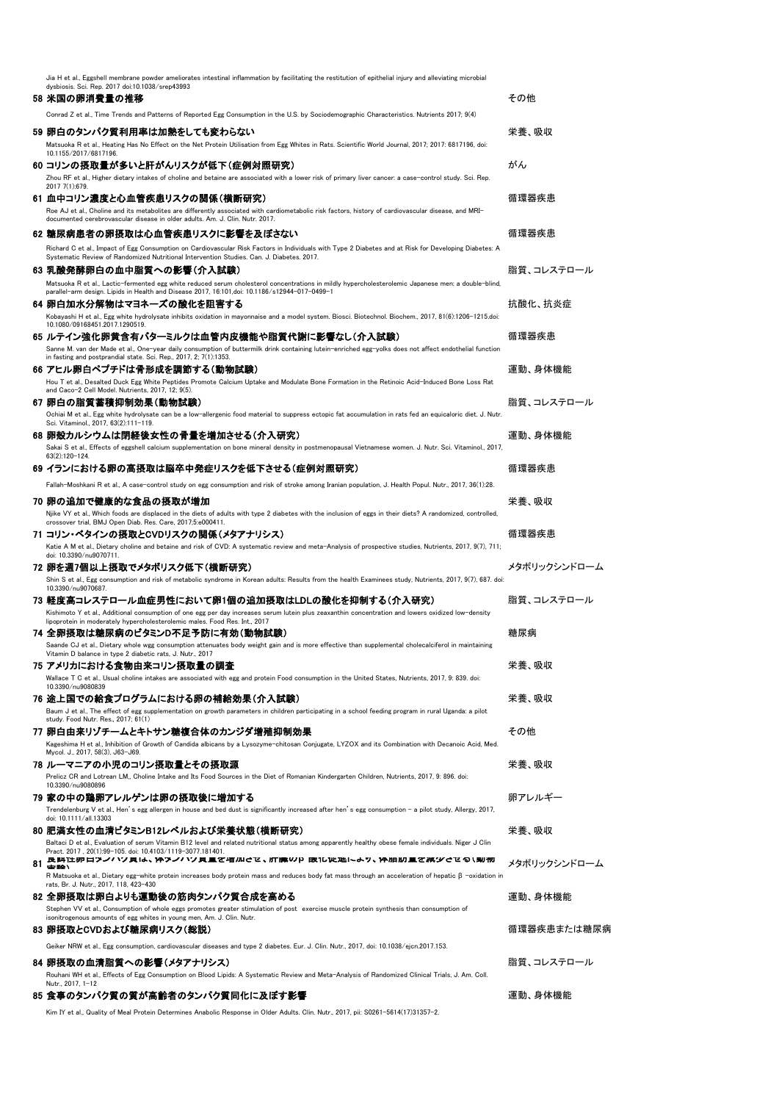|    | Jia H et al., Eggshell membrane powder ameliorates intestinal inflammation by facilitating the restitution of epithelial injury and alleviating microbial                                                                            |              |
|----|--------------------------------------------------------------------------------------------------------------------------------------------------------------------------------------------------------------------------------------|--------------|
|    | dysbiosis. Sci. Rep. 2017 doi:10.1038/srep43993<br>58 米国の卵消費量の推移                                                                                                                                                                     | その他          |
|    | Conrad Z et al., Time Trends and Patterns of Reported Egg Consumption in the U.S. by Sociodemographic Characteristics. Nutrients 2017; 9(4)                                                                                          |              |
|    |                                                                                                                                                                                                                                      |              |
|    | 59 卵白のタンパク質利用率は加熱をしても変わらない<br>Matsuoka R et al., Heating Has No Effect on the Net Protein Utilisation from Egg Whites in Rats. Scientific World Journal, 2017; 2017: 6817196, doi:                                                   | 栄養、吸収        |
|    | 10.1155/2017/6817196                                                                                                                                                                                                                 |              |
|    | 60 コリンの摂取量が多いと肝がんリスクが低下(症例対照研究)<br>Zhou RF et al., Higher dietary intakes of choline and betaine are associated with a lower risk of primary liver cancer: a case-control study. Sci. Rep.                                           | がん           |
|    | 2017 7(1):679.                                                                                                                                                                                                                       |              |
|    | 61 血中コリン濃度と心血管疾患リスクの関係(横断研究)                                                                                                                                                                                                         | 循環器疾患        |
|    | Roe AJ et al., Choline and its metabolites are differently associated with cardiometabolic risk factors, history of cardiovascular disease, and MRI-<br>documented cerebrovascular disease in older adults. Am. J. Clin. Nutr. 2017. |              |
|    | 62 糖尿病患者の卵摂取は心血管疾患リスクに影響を及ぼさない                                                                                                                                                                                                       | 循環器疾患        |
|    | Richard C et al., Impact of Egg Consumption on Cardiovascular Risk Factors in Individuals with Type 2 Diabetes and at Risk for Developing Diabetes: A                                                                                |              |
|    | Systematic Review of Randomized Nutritional Intervention Studies. Can. J. Diabetes. 2017.<br>63 乳酸発酵卵白の血中脂質への影響(介入試験)                                                                                                                | 脂質、コレステロール   |
|    | Matsuoka R et al., Lactic-fermented egg white reduced serum cholesterol concentrations in mildly hypercholesterolemic Japanese men: a double-blind                                                                                   |              |
|    | parallel-arm design. Lipids in Health and Disease 2017, 16:101,doi: 10.1186/s12944-017-0499-1                                                                                                                                        |              |
|    | 64 卵白加水分解物はマヨネーズの酸化を阻害する<br>Kobavashi H et al., Egg white hydrolysate inhibits oxidation in mayonnaise and a model system. Biosci, Biotechnol, Biochem., 2017, 81(6):1206-1215.doi:                                                  | 抗酸化、抗炎症      |
|    | 10.1080/09168451.2017.1290519.                                                                                                                                                                                                       |              |
|    | 65 ルテイン強化卵黄含有バターミルクは血管内皮機能や脂質代謝に影響なし(介入試験)<br>Sanne M, van der Made et al., One-vear daily consumption of buttermilk drink containing lutein-enriched egg-volks does not affect endothelial function                                 | 循環器疾患        |
|    | in fasting and postprandial state. Sci. Rep., 2017, 2; 7(1):1353.                                                                                                                                                                    |              |
|    | 66 アヒル卵白ペプチドは骨形成を調節する(動物試験)                                                                                                                                                                                                          | 運動、身体機能      |
|    | Hou T et al., Desalted Duck Egg White Peptides Promote Calcium Uptake and Modulate Bone Formation in the Retinoic Acid-Induced Bone Loss Rat<br>and Caco-2 Cell Model, Nutrients, 2017, 12: 9(5)                                     |              |
|    | 67 卵白の脂質蓄積抑制効果(動物試験)                                                                                                                                                                                                                 | 脂質、コレステロール   |
|    | Ochiai M et al., Egg white hydrolysate can be a low-allergenic food material to suppress ectopic fat accumulation in rats fed an equicaloric diet. J. Nutr.<br>Sci. Vitaminol., 2017, 63(2):111-119.                                 |              |
|    | 68 卵殻カルシウムは閉経後女性の骨量を増加させる(介入研究)                                                                                                                                                                                                      | 運動、身体機能      |
|    | Sakai S et al., Effects of eggshell calcium supplementation on bone mineral density in postmenopausal Vietnamese women. J. Nutr. Sci. Vitaminol., 2017,<br>63(2):120-124.                                                            |              |
|    | 69 イランにおける卵の高摂取は脳卒中発症リスクを低下させる(症例対照研究)                                                                                                                                                                                               | 循環器疾患        |
|    | Fallah-Moshkani R et al., A case-control study on egg consumption and risk of stroke among Iranian population, J. Health Popul. Nutr., 2017, 36(1):28.                                                                               |              |
|    | 70 卵の追加で健康的な食品の摂取が増加                                                                                                                                                                                                                 | 栄養、吸収        |
|    | Njike VY et al., Which foods are displaced in the diets of adults with type 2 diabetes with the inclusion of eggs in their diets? A randomized, controlled,                                                                          |              |
|    | crossover trial, BMJ Open Diab. Res. Care, 2017;5:e000411.<br>71 コリン・ベタインの摂取とCVDリスクの関係(メタアナリシス)                                                                                                                                      | 循環器疾患        |
|    | Katie A M et al., Dietary choline and betaine and risk of CVD: A systematic review and meta-Analysis of prospective studies, Nutrients, 2017, 9(7), 711;                                                                             |              |
|    | doi: 10.3390/nu9070711.<br>72 卵を週7個以上摂取でメタボリスク低下(横断研究)                                                                                                                                                                               | メタボリックシンドローム |
|    | Shin S et al., Egg consumption and risk of metabolic syndrome in Korean adults: Results from the health Examinees study, Nutrients, 2017, 9(7), 687, doi:                                                                            |              |
|    | 10.3390/nu9070687.<br>73 軽度高コレステロール血症男性において卵1個の追加摂取はLDLの酸化を抑制する(介入研究)                                                                                                                                                                | 脂質、コレステロール   |
|    | Kishimoto Y et al., Additional consumption of one egg per day increases serum lutein plus zeaxanthin concentration and lowers oxidized low-density                                                                                   |              |
|    | lipoprotein in moderately hypercholesterolemic males. Food Res. Int., 2017<br>74 全卵摂取は糖尿病のビタミンD不足予防に有効(動物試験)                                                                                                                         | 糖尿病          |
|    | Saande CJ et al., Dietary whole wgg consumption attenuates body weight gain and is more effective than supplemental cholecalciferol in maintaining                                                                                   |              |
|    | Vitamin D balance in type 2 diabetic rats, J. Nutr., 2017<br>75 アメリカにおける食物由来コリン摂取量の調査                                                                                                                                                | 栄養、吸収        |
|    | Wallace T C et al., Usual choline intakes are associated with egg and protein Food consumption in the United States, Nutrients, 2017, 9: 839. doi:                                                                                   |              |
|    | 10.3390/nu9080839                                                                                                                                                                                                                    |              |
|    | 76 途上国での給食プログラムにおける卵の補給効果(介入試験)<br>Baum J et al., The effect of egg supplementation on growth parameters in children participating in a school feeding program in rural Uganda: a pilot                                              | 栄養、吸収        |
|    | study. Food Nutr. Res., 2017; 61(1)                                                                                                                                                                                                  |              |
|    | 77 卵白由来リゾチームとキトサン糖複合体のカンジダ増殖抑制効果<br>Kageshima H et al., Inhibition of Growth of Candida albicans by a Lysozyme-chitosan Conjugate, LYZOX and its Combination with Decanoic Acid, Med.                                                | その他          |
|    | Mycol. J., 2017, 58(3), J63-J69.                                                                                                                                                                                                     |              |
|    | 78 ルーマニアの小児のコリン摂取量とその摂取源                                                                                                                                                                                                             | 栄養、吸収        |
|    | Prelicz CR and Lotrean LM,, Choline Intake and Its Food Sources in the Diet of Romanian Kindergarten Children, Nutrients, 2017, 9: 896. doi:<br>10.3390/nu9080896                                                                    |              |
|    | 79 家の中の鶏卵アレルゲンは卵の摂取後に増加する                                                                                                                                                                                                            | 卵アレルギー       |
|    | Trendelenburg V et al., Hen's egg allergen in house and bed dust is significantly increased after hen's egg consumption - a pilot study, Allergy, 2017,<br>doi: 10.1111/all.13303                                                    |              |
|    | 80 肥満女性の血清ビタミンB12レベルおよび栄養状態(横断研究)                                                                                                                                                                                                    | 栄養、吸収        |
|    | Baltaci D et al., Evaluation of serum Vitamin B12 level and related nutritional status among apparently healthy obese female individuals. Niger J Clin<br>Pract. 2017, 20(1):99-105. doi: 10.4103/1119-3077.181401.                  |              |
| 81 | 良時は卯ロアノハソ貝は、14アノハソ貝里で宿加させ、肝臓WP 取15VL2H-6ツ、14畑加里で減少させる\乳物<br>de lié \                                                                                                                                                                 | メタボリックシンドローム |
|    | R Matsuoka et al., Dietary egg-white protein increases body protein mass and reduces body fat mass through an acceleration of hepatic $\beta$ -oxidation in<br>rats, Br. J. Nutr., 2017, 118, 423-430                                |              |
|    | 82 全卵摂取は卵白よりも運動後の筋肉タンパク質合成を高める                                                                                                                                                                                                       | 運動、身体機能      |
|    | Stephen VV et al., Consumption of whole eggs promotes greater stimulation of post exercise muscle protein synthesis than consumption of<br>isonitrogenous amounts of egg whites in young men, Am. J. Clin. Nutr.                     |              |
|    | 83 卵摂取とCVDおよび糖尿病リスク(総説)                                                                                                                                                                                                              | 循環器疾患または糖尿病  |
|    | Geiker NRW et al., Egg consumption, cardiovascular diseases and type 2 diabetes. Eur. J. Clin. Nutr., 2017, doi: 10.1038/ejcn.2017.153.                                                                                              |              |
|    | 84 卵摂取の血清脂質への影響(メタアナリシス)                                                                                                                                                                                                             | 脂質、コレステロール   |
|    | Rouhani WH et al., Effects of Egg Consumption on Blood Lipids: A Systematic Review and Meta-Analysis of Randomized Clinical Trials, J. Am. Coll.                                                                                     |              |
|    | Nutr., 2017, 1-12<br>85 食事のタンパク質の質が高齢者のタンパク質同化に及ぼす影響                                                                                                                                                                                 | 運動、身体機能      |
|    | Kim IY et al., Quality of Meal Protein Determines Anabolic Response in Older Adults. Clin. Nutr., 2017, pii: S0261-5614(17)31357-2.                                                                                                  |              |
|    |                                                                                                                                                                                                                                      |              |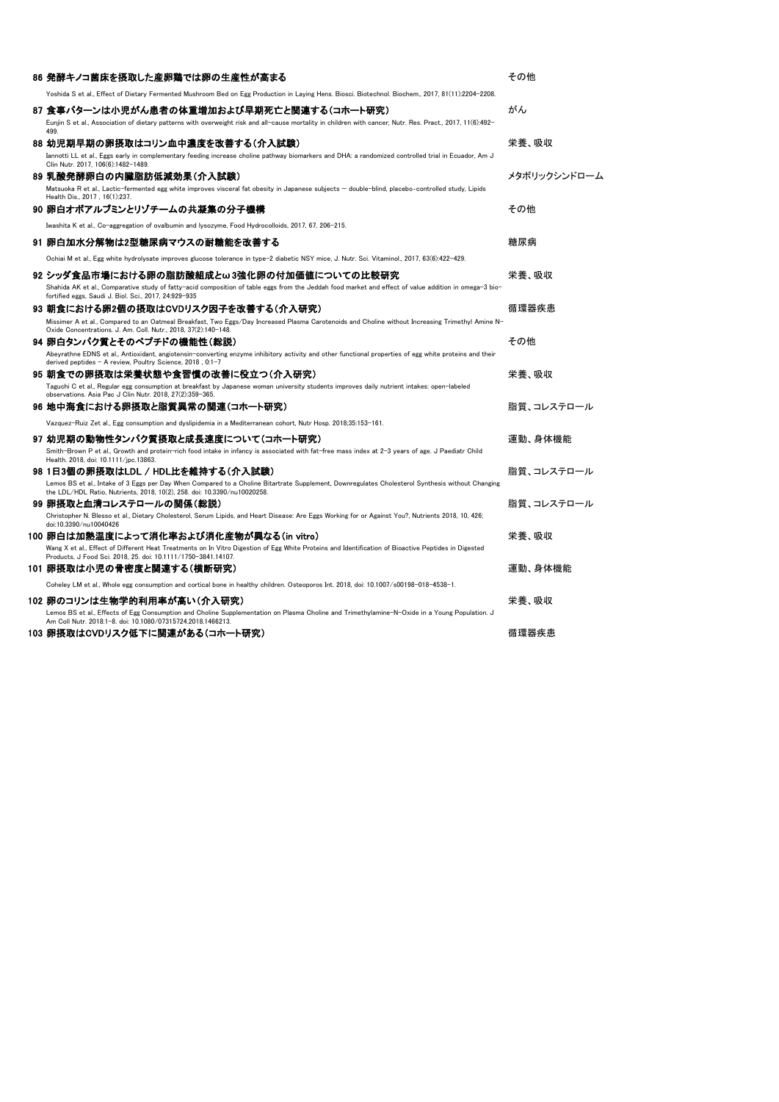| 86 発酵キノコ菌床を摂取した産卵鶏では卵の生産性が高まる                                                                                                                                                                                                | その他          |
|------------------------------------------------------------------------------------------------------------------------------------------------------------------------------------------------------------------------------|--------------|
| Yoshida S et al., Effect of Dietary Fermented Mushroom Bed on Egg Production in Laying Hens. Biosci. Biotechnol. Biochem., 2017, 81(11):2204-2208.                                                                           |              |
| 87 食事パターンは小児がん患者の体重増加および早期死亡と関連する(コホート研究)<br>Eunjin S et al., Association of dietary patterns with overweight risk and all-cause mortality in children with cancer, Nutr. Res. Pract., 2017, 11(6):492-                      | がん           |
| 499<br>88 幼児期早期の卵摂取はコリン血中濃度を改善する(介入試験)                                                                                                                                                                                       | 栄養、吸収        |
| Iannotti LL et al., Eggs early in complementary feeding increase choline pathway biomarkers and DHA: a randomized controlled trial in Ecuador, Am J<br>Clin Nutr. 2017, 106(6):1482-1489.                                    |              |
| 89 乳酸発酵卵白の内臓脂肪低減効果(介入試験)                                                                                                                                                                                                     | メタボリックシンドローム |
| Matsuoka R et al., Lactic-fermented egg white improves visceral fat obesity in Japanese subjects — double-blind, placebo-controlled study, Lipids<br>Health Dis., 2017 . 16(1):237.                                          |              |
| 90 卵白オボアルブミンとリゾチームの共凝集の分子機構                                                                                                                                                                                                  | その他          |
| Iwashita K et al., Co-aggregation of ovalbumin and lysozyme, Food Hydrocolloids, 2017, 67, 206-215.                                                                                                                          |              |
| 91 卵白加水分解物は2型糖尿病マウスの耐糖能を改善する                                                                                                                                                                                                 | 糖尿病          |
| Ochiai M et al., Egg white hydrolysate improves glucose tolerance in type-2 diabetic NSY mice, J. Nutr. Sci. Vitaminol., 2017, 63(6):422-429.                                                                                |              |
| 92 シッダ食品市場における卵の脂肪酸組成とω3強化卵の付加価値についての比較研究                                                                                                                                                                                    | 栄養、吸収        |
| Shahida AK et al., Comparative study of fatty-acid composition of table eggs from the Jeddah food market and effect of value addition in omega-3 bio-<br>fortified eggs, Saudi J. Biol. Sci., 2017, 24:929-935               |              |
| 93 朝食における卵2個の摂取はCVDリスク因子を改善する(介入研究)                                                                                                                                                                                          | 循環器疾患        |
| Missimer A et al., Compared to an Oatmeal Breakfast, Two Eggs/Day Increased Plasma Carotenoids and Choline without Increasing Trimethyl Amine N-<br>Oxide Concentrations. J. Am. Coll. Nutr., 2018, 37(2):140-148.           |              |
| 94 卵白タンパク質とそのペプチドの機能性(総説)                                                                                                                                                                                                    | その他          |
| Abeyrathne EDNS et al., Antioxidant, angiotensin-converting enzyme inhibitory activity and other functional properties of egg white proteins and their<br>derived peptides - A review, Poultry Science, 2018, 0:1-7          |              |
| 95 朝食での卵摂取は栄養状態や食習慣の改善に役立つ(介入研究)                                                                                                                                                                                             | 栄養、吸収        |
| Taguchi C et al., Regular egg consumption at breakfast by Japanese woman university students improves daily nutrient intakes: open-labeled<br>observations. Asia Pac J Clin Nutr. 2018, 27(2):359-365.                       |              |
| 96 地中海食における卵摂取と脂質異常の関連(コホート研究)                                                                                                                                                                                               | 脂質、コレステロール   |
| Vazquez-Ruiz Zet al., Egg consumption and dyslipidemia in a Mediterranean cohort, Nutr Hosp. 2018;35:153-161.                                                                                                                |              |
| 97 幼児期の動物性タンパク質摂取と成長速度について(コホート研究)                                                                                                                                                                                           | 運動、身体機能      |
| Smith-Brown P et al., Growth and protein-rich food intake in infancy is associated with fat-free mass index at 2-3 years of age. J Paediatr Child<br>Health, 2018, doi: 10.1111/ipc.13863.                                   |              |
| 98 1日3個の卵摂取はLDL / HDL比を維持する(介入試験)                                                                                                                                                                                            | 脂質、コレステロール   |
| Lemos BS et al., Intake of 3 Eggs per Day When Compared to a Choline Bitartrate Supplement, Downregulates Cholesterol Synthesis without Changing<br>the LDL/HDL Ratio, Nutrients, 2018, 10(2), 258. doi: 10.3390/nu10020258. |              |
| 99 卵摂取と血清コレステロールの関係(総説)                                                                                                                                                                                                      | 脂質、コレステロール   |
| Christopher N. Blesso et al., Dietary Cholesterol, Serum Lipids, and Heart Disease: Are Eggs Working for or Against You?, Nutrients 2018, 10, 426;<br>doi:10.3390/nu10040426                                                 |              |
| 100 卵白は加熱温度によって消化率および消化産物が異なる(in vitro)                                                                                                                                                                                      | 栄養、吸収        |
| Wang X et al., Effect of Different Heat Treatments on In Vitro Digestion of Egg White Proteins and Identification of Bioactive Peptides in Digested<br>Products, J Food Sci. 2018, 25. doi: 10.1111/1750-3841.14107.         |              |
| 101 卵摂取は小児の骨密度と関連する(横断研究)                                                                                                                                                                                                    | 運動、身体機能      |
| Coheley LM et al., Whole egg consumption and cortical bone in healthy children. Osteoporos Int. 2018, doi: 10.1007/s00198-018-4538-1.                                                                                        |              |
| 102 卵のコリンは生物学的利用率が高い(介入研究)                                                                                                                                                                                                   | 栄養、吸収        |
| Lemos BS et al., Effects of Egg Consumption and Choline Supplementation on Plasma Choline and Trimethylamine-N-Oxide in a Young Population. J<br>Am Coll Nutr. 2018:1-8. doi: 10.1080/07315724.2018.1466213.                 |              |
| 103 卵摂取はCVDリスク低下に関連がある(コホート研究)                                                                                                                                                                                               | 循環器疾患        |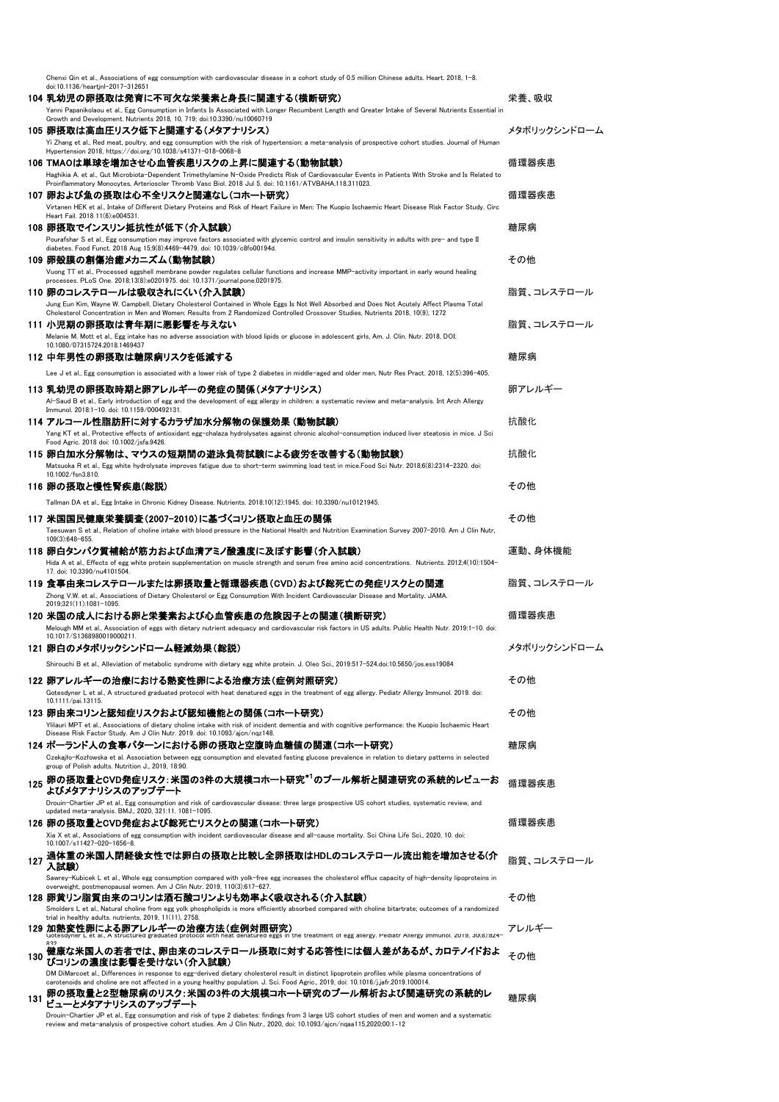|     | Chenxi Qin et al., Associations of egg consumption with cardiovascular disease in a cohort study of 0.5 million Chinese adults. Heart. 2018, 1-8.<br>doi:10.1136/heartjnl-2017-312651                                                                                         |                             |
|-----|-------------------------------------------------------------------------------------------------------------------------------------------------------------------------------------------------------------------------------------------------------------------------------|-----------------------------|
|     | 104 乳幼児の卵摂取は発育に不可欠な栄養素と身長に関連する(横断研究)                                                                                                                                                                                                                                          | 栄養、吸収                       |
|     | Yanni Papanikolaou et al., Egg Consumption in Infants Is Associated with Longer Recumbent Length and Greater Intake of Several Nutrients Essential in                                                                                                                         |                             |
|     | Growth and Development. Nutrients 2018, 10, 719; doi:10.3390/nu10060719<br>105 卵摂取は高血圧リスク低下と関連する(メタアナリシス)                                                                                                                                                                     | メタボリックシンドローム                |
|     | Yi Zhang et al., Red meat, poultry, and egg consumption with the risk of hypertension: a meta-analysis of prospective cohort studies. Journal of Human                                                                                                                        |                             |
|     | Hypertension 2018, https://doi.org/10.1038/s41371-018-0068-8                                                                                                                                                                                                                  |                             |
|     | 106 TMAOは単球を増加させ心血管疾患リスクの上昇に関連する(動物試験)                                                                                                                                                                                                                                        | 循環器疾患                       |
|     | Haghikia A. et al., Gut Microbiota-Dependent Trimethylamine N-Oxide Predicts Risk of Cardiovascular Events in Patients With Stroke and Is Related to<br>Proinflammatory Monocytes, Arterioscler Thromb Vasc Biol. 2018 Jul 5. doi: 10.1161/ATVBAHA.118.311023.                |                             |
|     | 107 卵および魚の摂取は心不全リスクと関連なし(コホート研究)                                                                                                                                                                                                                                              | 循環器疾患                       |
|     | Virtanen HEK et al., Intake of Different Dietary Proteins and Risk of Heart Failure in Men: The Kuopio Ischaemic Heart Disease Risk Factor Study. Circ<br>Heart Fail. 2018 11(6):e004531.                                                                                     |                             |
|     | 108 卵摂取でインスリン抵抗性が低下(介入試験)                                                                                                                                                                                                                                                     | 糖尿病                         |
|     | Pourafshar S et al., Egg consumption may improve factors associated with glycemic control and insulin sensitivity in adults with pre- and type II                                                                                                                             |                             |
|     | diabetes. Food Funct. 2018 Aug 15;9(8):4469-4479. doi: 10.1039/c8fo00194d.<br>109 卵殻膜の創傷治癒メカニズム(動物試験)                                                                                                                                                                         | その他                         |
|     | Vuong TT et al., Processed eggshell membrane powder regulates cellular functions and increase MMP-activity important in early wound healing                                                                                                                                   |                             |
|     | processes. PLoS One. 2018;13(8):e0201975. doi: 10.1371/journal.pone.0201975.                                                                                                                                                                                                  |                             |
|     | 110 卵のコレステロールは吸収されにくい(介入試験)                                                                                                                                                                                                                                                   | 脂質、コレステロール                  |
|     | Jung Eun Kim, Wayne W. Campbell, Dietary Cholesterol Contained in Whole Eggs Is Not Well Absorbed and Does Not Acutely Affect Plasma Total<br>Cholesterol Concentration in Men and Women: Results from 2 Randomized Controlled Crossover Studies, Nutrients 2018, 10(9), 1272 |                             |
|     | 111 小児期の卵摂取は青年期に悪影響を与えない                                                                                                                                                                                                                                                      | 脂質.コレステロール                  |
|     | Melanie M. Mott et al., Egg intake has no adverse association with blood lipids or glucose in adolescent girls, Am. J. Clin. Nutr. 2018, DOI:<br>10.1080/07315724.2018.1469437                                                                                                |                             |
|     | 112 中年男性の卵摂取は糖尿病リスクを低減する                                                                                                                                                                                                                                                      | 糖尿病                         |
|     | Lee J et al., Egg consumption is associated with a lower risk of type 2 diabetes in middle-aged and older men, Nutr Res Pract. 2018, 12(5):396-405.                                                                                                                           |                             |
|     | 113 乳幼児の卵摂取時期と卵アレルギーの発症の関係(メタアナリシス)                                                                                                                                                                                                                                           | 卵アレルギー                      |
|     | Al-Saud B et al., Early introduction of egg and the development of egg allergy in children: a systematic review and meta-analysis. Int Arch Allergy                                                                                                                           |                             |
|     | Immunol. 2018:1-10. doi: 10.1159/000492131.                                                                                                                                                                                                                                   |                             |
|     | 114 アルコール性脂肪肝に対するカラザ加水分解物の保護効果 (動物試験)<br>Yang KT et al., Protective effects of antioxidant egg-chalaza hydrolysates against chronic alcohol-consumption induced liver steatosis in mice. J Sci                                                                                | 抗酸化                         |
|     | Food Agric. 2018 doi: 10.1002/jsfa.9426.                                                                                                                                                                                                                                      |                             |
|     | 115 卵白加水分解物は、マウスの短期間の遊泳負荷試験による疲労を改善する(動物試験)                                                                                                                                                                                                                                   | 抗酸化                         |
|     | Matsuoka R et al., Egg white hydrolysate improves fatigue due to short-term swimming load test in mice.Food Sci Nutr. 2018;6(8):2314-2320. doi:<br>10.1002/fsn3.810.                                                                                                          |                             |
|     | 116 卵の摂取と慢性腎疾患(総説)                                                                                                                                                                                                                                                            | その他                         |
|     | Tallman DA et al., Egg Intake in Chronic Kidney Disease. Nutrients. 2018;10(12):1945. doi: 10.3390/nu10121945.                                                                                                                                                                |                             |
|     | 117 米国国民健康栄養調査(2007-2010)に基づくコリン摂取と血圧の関係                                                                                                                                                                                                                                      | その他                         |
|     | Taesuwan S et al., Relation of choline intake with blood pressure in the National Health and Nutrition Examination Survey 2007-2010. Am J Clin Nutr,                                                                                                                          |                             |
|     | 109(3):648-655                                                                                                                                                                                                                                                                | 運動、身体機能                     |
|     | 118 卵白タンパク質補給が筋力および血清アミノ酸濃度に及ぼす影響(介入試験)<br>Hida A et al., Effects of egg white protein supplementation on muscle strength and serum free amino acid concentrations. Nutrients. 2012;4(10):1504-                                                                               |                             |
|     | 17. doi: 10.3390/nu4101504.                                                                                                                                                                                                                                                   |                             |
|     | 119 食事由来コレステロールまたは卵摂取量と循環器疾患(CVD)および総死亡の発症リスクとの関連                                                                                                                                                                                                                             | 脂質、コレステロール                  |
|     | Zhong V.W. et al., Associations of Dietary Cholesterol or Egg Consumption With Incident Cardiovascular Disease and Mortality. JAMA.<br>2019;321(11):1081-1095.                                                                                                                |                             |
|     | 120 米国の成人における卵と栄養素および心血管疾患の危険因子との関連(横断研究)                                                                                                                                                                                                                                     | $\sim$ -m on $+$ +<br>伯塚奋疾忠 |
|     | Melough MM et al., Association of eggs with dietary nutrient adequacy and cardiovascular risk factors in US adults. Public Health Nutr. 2019:1–10. doi:<br>10.1017/S1368980019000211.                                                                                         |                             |
|     | 121 卵白のメタボリックシンドローム軽減効果(総説)                                                                                                                                                                                                                                                   | メタボリックシンドローム                |
|     | Shirouchi B et al., Alleviation of metabolic syndrome with dietary egg white protein. J. Oleo Sci., 2019:517-524.doi:10.5650/jos.ess19084                                                                                                                                     |                             |
|     | 122 卵アレルギーの治療における熱変性卵による治療方法(症例対照研究)                                                                                                                                                                                                                                          | その他                         |
|     | Gotesdyner L et al., A structured graduated protocol with heat denatured eggs in the treatment of egg allergy. Pediatr Allergy Immunol. 2019. doi:                                                                                                                            |                             |
|     | 10.1111/pai.13115.                                                                                                                                                                                                                                                            |                             |
|     | 123 卵由来コリンと認知症リスクおよび認知機能との関係(コホート研究)<br>Ylilauri MPT et al., Associations of dietary choline intake with risk of incident dementia and with cognitive performance: the Kuopio Ischaemic Heart                                                                                 | その他                         |
|     | Disease Risk Factor Study. Am J Clin Nutr. 2019. doi: 10.1093/ajcn/nqz148.                                                                                                                                                                                                    |                             |
|     | 124 ボーランド人の食事パターンにおける卵の摂取と空腹時血糖値の関連(コホート研究)                                                                                                                                                                                                                                   | 糖尿病                         |
|     | Czekajło-Kozłowska et al. Association between egg consumption and elevated fasting glucose prevalence in relation to dietary patterns in selected<br>group of Polish adults. Nutrition J., 2019, 18:90.                                                                       |                             |
|     | 125 卵の摂取量とCVD発症リスク:米国の3件の大規模コホート研究*1のプール解析と関連研究の系統的レビューお                                                                                                                                                                                                                      | 循環器疾患                       |
|     | よびメタアナリシスのアップデート                                                                                                                                                                                                                                                              |                             |
|     | Drouin-Chartier JP et al., Egg consumption and risk of cardiovascular disease: three large prospective US cohort studies, systematic review, and<br>updated meta-analysis. BMJ., 2020, 321:11. 1081-1095.                                                                     |                             |
|     | 126 卵の摂取量とCVD発症および総死亡リスクとの関連(コホート研究)                                                                                                                                                                                                                                          | 循環器疾患                       |
|     | Xia X et al., Associations of egg consumption with incident cardiovascular disease and all-cause mortality. Sci China Life Sci., 2020, 10. doi:<br>10.1007/s11427-020-1656-8                                                                                                  |                             |
|     | 過体重の米国人閉経後女性では卵白の摂取と比較し全卵摂取はHDLのコレステロール流出能を増加させる(介                                                                                                                                                                                                                            |                             |
| 127 | 入試験)                                                                                                                                                                                                                                                                          | 脂質、コレステロール                  |
|     | Sawrey-Kubicek L et al., Whole egg consumption compared with yolk-free egg increases the cholesterol efflux capacity of high-density lipoproteins in<br>overweight, postmenopausal women. Am J Clin Nutr. 2019, 110(3):617-627.                                               |                             |
|     | 128 卵黄リン脂質由来のコリンは酒石酸コリンよりも効率よく吸収される(介入試験)                                                                                                                                                                                                                                     | その他                         |
|     | Smolders L et al., Natural choline from egg yolk phospholipids is more efficiently absorbed compared with choline bitartrate; outcomes of a randomized                                                                                                                        |                             |
|     | trial in healthy adults. nutrients, 2019, 11(11), 2758.<br>129 加熱変性卵による卵アレルギーの治療方法(症例対照研究)                                                                                                                                                                                    | アレルギー                       |
|     | Gotesdyner L et al., A structured graduated protocol with heat denatured eggs in the treatment of egg allergy. Pediatr Allergy Immunol. 2019, 30(8):824                                                                                                                       |                             |
| 130 | 健康な米国人の若者では、卵由来のコレステロール摂取に対する応答性には個人差があるが、カロテノイドおよ                                                                                                                                                                                                                            | その他                         |
|     | びコリンの濃度は影響を受けない(介入試験)<br>DM DiMarcoet al., Differences in response to egg-derived dietary cholesterol result in distinct lipoprotein profiles while plasma concentrations of                                                                                                  |                             |
|     | carotenoids and choline are not affected in a young healthy population. J. Sci. Food Agric., 2019, doi: 10.1016/j.jafr.2019.100014.                                                                                                                                           |                             |
| 131 | 卵の摂取量と2型糖尿病のリスク:米国の3件の大規模コホート研究のプール解析および関連研究の系統的レ<br>ビューとメタアナリシスのアップデート                                                                                                                                                                                                       | 糖尿病                         |
|     | Drouin-Chartier JP et al., Egg consumption and risk of type 2 diabetes: findings from 3 large US cohort studies of men and women and a systematic                                                                                                                             |                             |
|     | review and meta-analysis of prospective cohort studies. Am J Clin Nutr., 2020, doi: 10.1093/ajcn/ngaa115,2020;00:1-12                                                                                                                                                         |                             |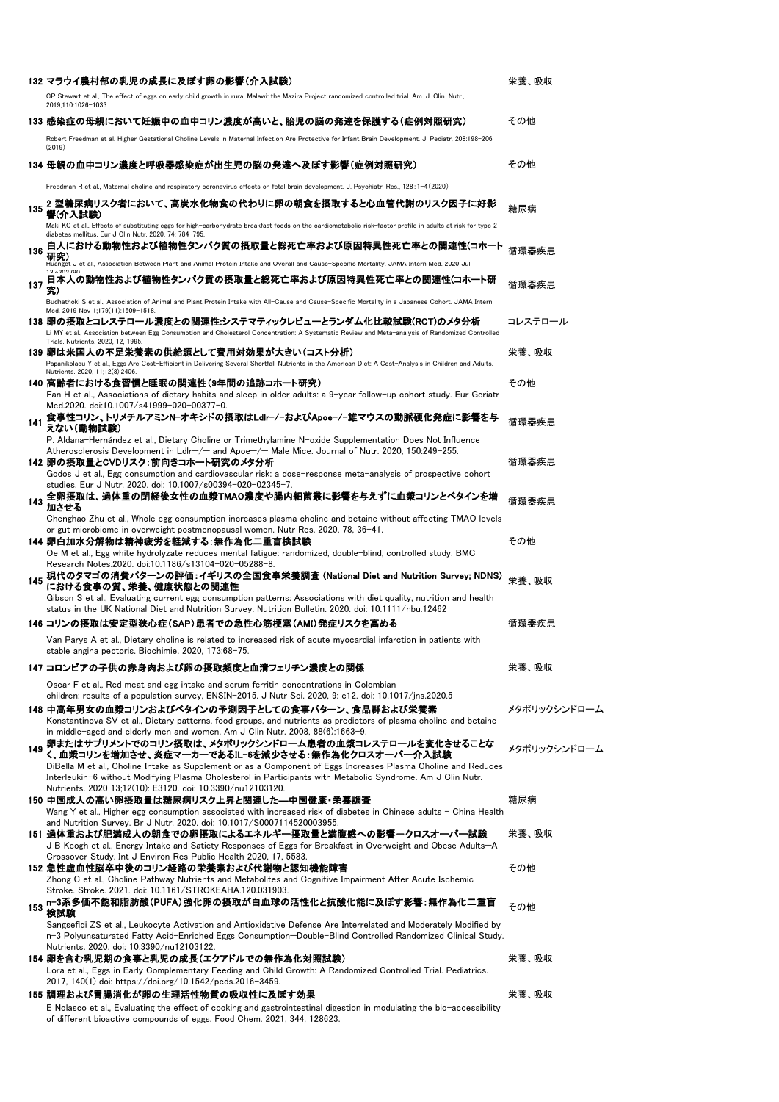|     | 132 マラウイ農村部の乳児の成長に及ぼす卵の影響(介入試験)                                                                                                                                                                                                                   | 栄養、吸収        |
|-----|---------------------------------------------------------------------------------------------------------------------------------------------------------------------------------------------------------------------------------------------------|--------------|
|     | CP Stewart et al., The effect of eggs on early child growth in rural Malawi: the Mazira Project randomized controlled trial. Am. J. Clin. Nutr.,<br>2019,110:1026-1033.                                                                           |              |
|     | 133 感染症の母親において妊娠中の血中コリン濃度が高いと、胎児の脳の発達を保護する(症例対照研究)                                                                                                                                                                                                | その他          |
|     | Robert Freedman et al. Higher Gestational Choline Levels in Maternal Infection Are Protective for Infant Brain Development. J. Pediatr, 208:198-206<br>(2019)                                                                                     |              |
|     | 134 母親の血中コリン濃度と呼吸器感染症が出生児の脳の発達へ及ぼす影響(症例対照研究)                                                                                                                                                                                                      | その他          |
|     | Freedman R et al., Maternal choline and respiratory coronavirus effects on fetal brain development. J. Psychiatr. Res., 128:1-4(2020)                                                                                                             |              |
| 135 | 2 型糖尿病リスク者において、高炭水化物食の代わりに卵の朝食を摂取すると心血管代謝のリスク因子に好影<br>響(介入試験)<br>Maki KC et al., Effects of substituting eggs for high-carbohydrate breakfast foods on the cardiometabolic risk-factor profile in adults at risk for type 2                       | 糖尿病          |
|     | diabetes mellitus. Eur J Clin Nutr. 2020, 74: 784-795.                                                                                                                                                                                            |              |
| 136 | 白人における動物性および植物性タンパク質の摂取量と総死亡率および原因特異性死亡率との関連性(コホート<br>研究)<br>Huanget J et al., Association Between Plant and Animal Protein Intake and Uverall and Gause-Specific Mortality. JAMA Intern Med. 2020 Jul                                            | 循環器疾患        |
| 137 | 13.902790<br>日本人の動物性および植物性タンバク質の摂取量と総死亡率および原因特異性死亡率との関連性(コホート研<br>究)                                                                                                                                                                              | 循環器疾患        |
|     | Budhathoki S et al., Association of Animal and Plant Protein Intake with All-Cause and Cause-Specific Mortality in a Japanese Cohort. JAMA Intern                                                                                                 |              |
|     | Med. 2019 Nov 1;179(11):1509-1518.<br>138 卵の摂取とコレステロール濃度との関連性:システマティックレビューとランダム化比較試験(RCT)のメタ分析<br>Li MY et al., Association between Egg Consumption and Cholesterol Concentration: A Systematic Review and Meta-analysis of Randomized Controlled | コレステロール      |
|     | Trials. Nutrients. 2020, 12, 1995.<br>139 卵は米国人の不足栄養素の供給源として費用対効果が大きい(コスト分析)<br>Papanikolaou Y et al., Eggs Are Cost-Efficient in Delivering Several Shortfall Nutrients in the American Diet: A Cost-Analysis in Children and Adults.            | 栄養、吸収        |
|     | Nutrients. 2020, 11;12(8):2406.                                                                                                                                                                                                                   |              |
|     | 140 高齢者における食習慣と睡眠の関連性(9年間の追跡コホート研究)<br>Fan H et al., Associations of dietary habits and sleep in older adults: a 9-year follow-up cohort study. Eur Geriatr<br>Med.2020. doi:10.1007/s41999-020-00377-0.                                          | その他          |
| 141 | 食事性コリン、トリメチルアミンN-オキシドの摂取はLdlr-/-およびApoe-/-雄マウスの動脈硬化発症に影響を与<br>えない(動物試験)                                                                                                                                                                           | 循環器疾患        |
|     | P. Aldana-Hernández et al., Dietary Choline or Trimethylamine N-oxide Supplementation Does Not Influence<br>Atherosclerosis Development in Ldlr-/- and Apoe-/- Male Mice. Journal of Nutr. 2020, 150:249-255.                                     |              |
|     | 142 卵の摂取量とCVDリスク:前向きコホート研究のメタ分析                                                                                                                                                                                                                   | 循環器疾患        |
|     | Godos J et al., Egg consumption and cardiovascular risk: a dose-response meta-analysis of prospective cohort<br>studies. Eur J Nutr. 2020. doi: 10.1007/s00394-020-02345-7.                                                                       |              |
| 143 | 全卵摂取は、過体重の閉経後女性の血漿TMAO濃度や腸内細菌叢に影響を与えずに血漿コリンとベタインを増<br>加させる                                                                                                                                                                                        | 循環器疾患        |
|     | Chenghao Zhu et al., Whole egg consumption increases plasma choline and betaine without affecting TMAO levels<br>or gut microbiome in overweight postmenopausal women. Nutr Res. 2020, 78, 36-41.                                                 |              |
|     | 144 卵白加水分解物は精神疲労を軽減する:無作為化二重盲検試験<br>Oe M et al., Egg white hydrolyzate reduces mental fatigue: randomized, double-blind, controlled study. BMC                                                                                                    | その他          |
|     | Research Notes.2020. doi:10.1186/s13104-020-05288-8.                                                                                                                                                                                              |              |
| 145 | 現代のタマゴの消費パターンの評価:イギリスの全国食事栄養調査 (National Diet and Nutrition Survey; NDNS)<br>における食事の質、栄養、健康状態との関連性<br>Gibson S et al., Evaluating current egg consumption patterns: Associations with diet quality, nutrition and health                          | 栄養、吸収        |
|     | status in the UK National Diet and Nutrition Survey. Nutrition Bulletin. 2020. doi: 10.1111/nbu.12462                                                                                                                                             |              |
|     | 146 コリンの摂取は安定型狭心症(SAP)患者での急性心筋梗塞(AMI)発症リスクを高める                                                                                                                                                                                                    | 循環器疾患        |
|     | Van Parys A et al., Dietary choline is related to increased risk of acute myocardial infarction in patients with<br>stable angina pectoris. Biochimie. 2020, 173:68-75.                                                                           |              |
|     | 147 コロンビアの子供の赤身肉および卵の摂取頻度と血清フェリチン濃度との関係                                                                                                                                                                                                           | 栄養、吸収        |
|     | Oscar F et al., Red meat and egg intake and serum ferritin concentrations in Colombian<br>children: results of a population survey, ENSIN-2015. J Nutr Sci. 2020, 9: e12. doi: 10.1017/jns.2020.5                                                 |              |
|     | 148 中高年男女の血漿コリンおよびベタインの予測因子としての食事パターン、食品群および栄養素                                                                                                                                                                                                   | メタボリックシンドローム |
|     | Konstantinova SV et al., Dietary patterns, food groups, and nutrients as predictors of plasma choline and betaine<br>in middle-aged and elderly men and women. Am J Clin Nutr. 2008, 88(6):1663-9.                                                |              |
| 149 | 卵またはサプリメントでのコリン摂取は、メタボリックシンドローム患者の血漿コレステロールを変化させることな<br>く、血漿コリンを増加させ、炎症マーカーであるIL-6を減少させる:無作為化クロスオーバー介入試験                                                                                                                                          | メタボリックシンドローム |
|     | DiBella M et al., Choline Intake as Supplement or as a Component of Eggs Increases Plasma Choline and Reduces                                                                                                                                     |              |
|     | Interleukin-6 without Modifying Plasma Cholesterol in Participants with Metabolic Syndrome. Am J Clin Nutr.<br>Nutrients. 2020 13;12(10): E3120. doi: 10.3390/nu12103120.                                                                         |              |
|     | 150 中国成人の高い卵摂取量は糖尿病リスク上昇と関連した—中国健康・栄養調査<br>Wang Y et al., Higher egg consumption associated with increased risk of diabetes in Chinese adults – China Health                                                                                      | 糖尿病          |
|     | and Nutrition Survey. Br J Nutr. 2020. doi: 10.1017/S0007114520003955.                                                                                                                                                                            |              |
|     | 151 過体重および肥満成人の朝食での卵摂取によるエネルギー摂取量と満腹感への影響-クロスオーバー試験<br>J B Keogh et al., Energy Intake and Satiety Responses of Eggs for Breakfast in Overweight and Obese Adults-A                                                                               | 栄養、吸収        |
|     | Crossover Study. Int J Environ Res Public Health 2020, 17, 5583.<br>152 急性虚血性脳卒中後のコリン経路の栄養素および代謝物と認知機能障害                                                                                                                                          | その他          |
|     | Zhong C et al., Choline Pathway Nutrients and Metabolites and Cognitive Impairment After Acute Ischemic<br>Stroke. Stroke. 2021. doi: 10.1161/STROKEAHA.120.031903.                                                                               |              |
| 153 | n─3系多価不飽和脂肪酸(PUFA)強化卵の摂取が白血球の活性化と抗酸化能に及ぽす影響:無作為化二重盲<br>検試験                                                                                                                                                                                        | その他          |
|     | Sangsefidi ZS et al., Leukocyte Activation and Antioxidative Defense Are Interrelated and Moderately Modified by<br>n-3 Polyunsaturated Fatty Acid-Enriched Eggs Consumption-Double-Blind Controlled Randomized Clinical Study.                   |              |
|     | Nutrients. 2020. doi: 10.3390/nu12103122.                                                                                                                                                                                                         |              |
|     | 154 卵を含む乳児期の食事と乳児の成長(エクアドルでの無作為化対照試験)<br>Lora et al., Eggs in Early Complementary Feeding and Child Growth: A Randomized Controlled Trial. Pediatrics.                                                                                            | 栄養、吸収        |
|     | 2017, 140(1) doi: https://doi.org/10.1542/peds.2016-3459.                                                                                                                                                                                         |              |
|     | 155 調理および胃腸消化が卵の生理活性物質の吸収性に及ぼす効果                                                                                                                                                                                                                  | 栄養、吸収        |
|     | E Nolasco et al., Evaluating the effect of cooking and gastrointestinal digestion in modulating the bio-accessibility<br>of different bioactive compounds of eggs. Food Chem. 2021, 344, 128623.                                                  |              |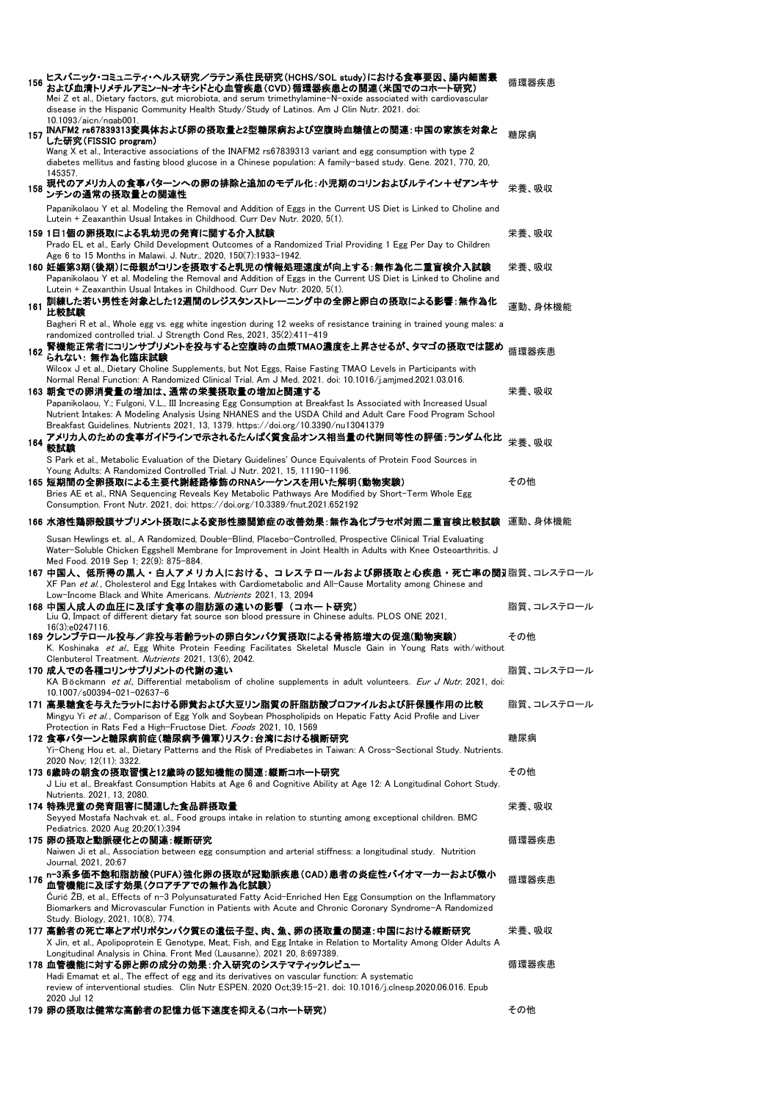| 156 | ヒスパニック・コミュニティ・ヘルス研究/ラテン系住民研究(HCHS/SOL study)における食事要因、腸内細菌叢<br>および血清トリメチルアミンーNーオキシドと心血管疾患(CVD)循環器疾患との関連(米国でのコホート研究)<br>Mei Z et al., Dietary factors, gut microbiota, and serum trimethylamine-N-oxide associated with cardiovascular<br>disease in the Hispanic Community Health Study/Study of Latinos. Am J Clin Nutr. 2021. doi: | 循環器疾患      |
|-----|-------------------------------------------------------------------------------------------------------------------------------------------------------------------------------------------------------------------------------------------------------------------------------------------------------------------------------------|------------|
| 157 | 10.1093/ajcn/ngab001.<br>INAFM2 rs67839313変異体および卵の摂取量と2型糖尿病および空腹時血糖値との関連: 中国の家族を対象と<br>した研究(FISSIC program)                                                                                                                                                                                                                         | 糖尿病        |
|     | Wang X et al., Interactive associations of the INAFM2 rs67839313 variant and egg consumption with type 2<br>diabetes mellitus and fasting blood glucose in a Chinese population: A family-based study. Gene. 2021, 770, 20,<br>145357.                                                                                              |            |
| 158 | 現代のアメリカ人の食事パターンへの卵の排除と追加のモデル化:小児期のコリンおよびルテイン+ゼアンキサ<br>ンチンの通常の摂取量との関連性                                                                                                                                                                                                                                                               | 栄養、吸収      |
|     | Papanikolaou Y et al. Modeling the Removal and Addition of Eggs in the Current US Diet is Linked to Choline and<br>Lutein + Zeaxanthin Usual Intakes in Childhood. Curr Dev Nutr. 2020, 5(1).                                                                                                                                       |            |
|     | 159 1日1個の卵摂取による乳幼児の発育に関する介入試験<br>Prado EL et al., Early Child Development Outcomes of a Randomized Trial Providing 1 Egg Per Day to Children                                                                                                                                                                                        | 栄養、吸収      |
|     | Age 6 to 15 Months in Malawi. J. Nutr., 2020, 150(7):1933-1942.<br>160 妊娠第3期(後期)に母親がコリンを摂取すると乳児の情報処理速度が向上する:無作為化二重盲検介入試験<br>Papanikolaou Y et al. Modeling the Removal and Addition of Eggs in the Current US Diet is Linked to Choline and                                                                                         | 栄養、吸収      |
| 161 | Lutein + Zeaxanthin Usual Intakes in Childhood. Curr Dev Nutr. 2020, 5(1).<br>訓練した若い男性を対象とした12週間のレジスタンストレーニング中の全卵と卵白の摂取による影響:無作為化<br>比較試験                                                                                                                                                                                           | 運動、身体機能    |
|     | Bagheri R et al., Whole egg vs. egg white ingestion during 12 weeks of resistance training in trained young males: a<br>randomized controlled trial. J Strength Cond Res, 2021, 35(2):411-419                                                                                                                                       |            |
| 162 | 腎機能正常者にコリンサプリメントを投与すると空腹時の血漿TMAO濃度を上昇させるが、タマゴの摂取では認め<br>られない: 無作為化臨床試験                                                                                                                                                                                                                                                              | 循環器疾患      |
|     | Wilcox J et al., Dietary Choline Supplements, but Not Eggs, Raise Fasting TMAO Levels in Participants with<br>.001016/j.amjmed.2021.03.016. Nandomized Clinical Trial. Am J Med. 2021. doi: 10.1016/j.amjmed.2021.03.016<br>163 朝食での卵消費量の増加は、通常の栄養摂取量の増加と関連する                                                                       | 栄養、吸収      |
|     | Papanikolaou, Y.; Fulgoni, V.L., III Increasing Egg Consumption at Breakfast Is Associated with Increased Usual<br>Nutrient Intakes: A Modeling Analysis Using NHANES and the USDA Child and Adult Care Food Program School                                                                                                         |            |
|     | Breakfast Guidelines. Nutrients 2021, 13, 1379. https://doi.org/10.3390/nu13041379<br>164 アメリカ人のための食事ガイドラインで示されるたんぱく質食品オンス相当量の代謝同等性の評価:ランダム化比<br>164 ******<br>較試験                                                                                                                                                                  | 栄養、吸収      |
|     | S Park et al., Metabolic Evaluation of the Dietary Guidelines' Ounce Equivalents of Protein Food Sources in<br>Young Adults: A Randomized Controlled Trial. J Nutr. 2021, 15, 11190-1196.                                                                                                                                           |            |
|     | 165 短期間の全卵摂取による主要代謝経路修飾のRNAシーケンスを用いた解明(動物実験)<br>Bries AE et al., RNA Sequencing Reveals Key Metabolic Pathways Are Modified by Short-Term Whole Egg<br>Consumption. Front Nutr. 2021, doi: https://doi.org/10.3389/fnut.2021.652192                                                                                                 | その他        |
|     | 166 水溶性鶏卵殻膜サブリメント摂取による変形性膝関節症の改善効果:無作為化ブラセボ対照二重盲検比較試験 運動、身体機能                                                                                                                                                                                                                                                                       |            |
|     | Susan Hewlings et. al., A Randomized, Double-Blind, Placebo-Controlled, Prospective Clinical Trial Evaluating<br>Water-Soluble Chicken Eggshell Membrane for Improvement in Joint Health in Adults with Knee Osteoarthritis. J<br>Med Food. 2019 Sep 1; 22(9): 875-884.                                                             |            |
|     | 167 中国人、低所得の黒人・白人アメリカ人における、コレステロールおよび卵摂取と心疾患・死亡率の関ヲ脂質、コレステロール<br>XF Pan et al., Cholesterol and Egg Intakes with Cardiometabolic and All-Cause Mortality among Chinese and<br>Low-Income Black and White Americans. Nutrients 2021, 13, 2094                                                                                        |            |
|     | 168 中国人成人の血圧に及ぼす食事の脂肪源の違いの影響(コホート研究)<br>Liu Q, Impact of different dietary fat source son blood pressure in Chinese adults. PLOS ONE 2021,                                                                                                                                                                                          | 脂質、コレステロール |
|     | 16(3):e0247116.<br>169 クレンブテロール投与/非投与若齢ラットの卵白タンパク質摂取による骨格筋増大の促進(動物実験)<br>K. Koshinaka <i>et al.</i> , Egg White Protein Feeding Facilitates Skeletal Muscle Gain in Young Rats with/without<br>Clenbuterol Treatment. Nutrients 2021, 13(6), 2042.                                                                                  | その他        |
|     | 170 成人での各種コリンサプリメントの代謝の違い<br>KA Böckmann et al., Differential metabolism of choline supplements in adult volunteers. Eur J Nutr. 2021, doi:                                                                                                                                                                                         | 脂質、コレステロール |
|     | $10.1007/s00394 - 021 - 02637 - 6$<br>171 高果糖食を与えたラットにおける卵黄および大豆リン脂質の肝脂肪酸プロファイルおよび肝保護作用の比較                                                                                                                                                                                                                                          | 脂質、コレステロール |
|     | Mingyu Yi et al., Comparison of Egg Yolk and Soybean Phospholipids on Hepatic Fatty Acid Profile and Liver<br>Protection in Rats Fed a High-Fructose Diet. Foods 2021, 10, 1569                                                                                                                                                     |            |
|     | 172 食事パタ―ンと糖尿病前症(糖尿病予備軍)リスク:台湾における横断研究<br>Yi-Cheng Hou et. al., Dietary Patterns and the Risk of Prediabetes in Taiwan: A Cross-Sectional Study. Nutrients.<br>2020 Nov: 12(11): 3322.                                                                                                                                              | 糖尿病        |
|     | 173 6歳時の朝食の摂取習慣と12歳時の認知機能の関連:縦断コホート研究<br>J Liu et al., Breakfast Consumption Habits at Age 6 and Cognitive Ability at Age 12: A Longitudinal Cohort Study.<br>Nutrients. 2021, 13, 2080.                                                                                                                                            | その他        |
|     | 174 特殊児童の発育阻害に関連した食品群摂取量                                                                                                                                                                                                                                                                                                            | 栄養、吸収      |
|     | Seyyed Mostafa Nachvak et. al., Food groups intake in relation to stunting among exceptional children. BMC<br>Pediatrics. 2020 Aug 20;20(1):394<br>175 卵の摂取と動脈硬化との関連:縦断研究<br>Naiwen Ji et al., Association between egg consumption and arterial stiffness: a longitudinal study. Nutrition                                          | 循環器疾患      |
|     | Journal, 2021, 20:67<br>n-3系多価不飽和脂肪酸(PUFA)強化卵の摂取が冠動脈疾患(CAD)患者の炎症性バイオマーカーおよび微小                                                                                                                                                                                                                                                       |            |
| 176 | 血管機能に及ぼす効果(クロアチアでの無作為化試験)<br>Curić ZB, et al., Effects of n-3 Polyunsaturated Fatty Acid-Enriched Hen Egg Consumption on the Inflammatory                                                                                                                                                                                           | 循環器疾患      |
|     | Biomarkers and Microvascular Function in Patients with Acute and Chronic Coronary Syndrome-A Randomized<br>Study. Biology, 2021, 10(8), 774.                                                                                                                                                                                        |            |
|     | 177 高齢者の死亡率とアポリポタンパク質Eの遺伝子型、肉、魚、卵の摂取量の関連: 中国における縦断研究<br>X Jin, et al., Apolipoprotein E Genotype, Meat, Fish, and Egg Intake in Relation to Mortality Among Older Adults A<br>Longitudinal Analysis in China. Front Med (Lausanne). 2021 20, 8:697389.                                                                              | 栄養、吸収      |
|     | 178 血管機能に対する卵と卵の成分の効果:介入研究のシステマティックレビュー<br>Hadi Emamat et al., The effect of egg and its derivatives on vascular function: A systematic                                                                                                                                                                                             | 循環器疾患      |
|     | review of interventional studies. Clin Nutr ESPEN. 2020 Oct;39:15-21. doi: 10.1016/j.clnesp.2020.06.016. Epub<br>2020 Jul 12                                                                                                                                                                                                        |            |
|     | 179 卵の摂取は健常な高齢者の記憶力低下速度を抑える(コホート研究)                                                                                                                                                                                                                                                                                                 | その他        |